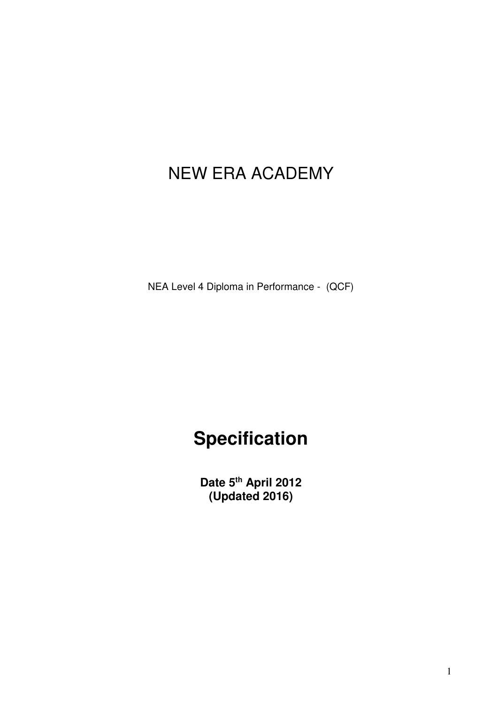## NEW ERA ACADEMY

NEA Level 4 Diploma in Performance - (QCF)

# **Specification**

**Date 5th April 2012 (Updated 2016)**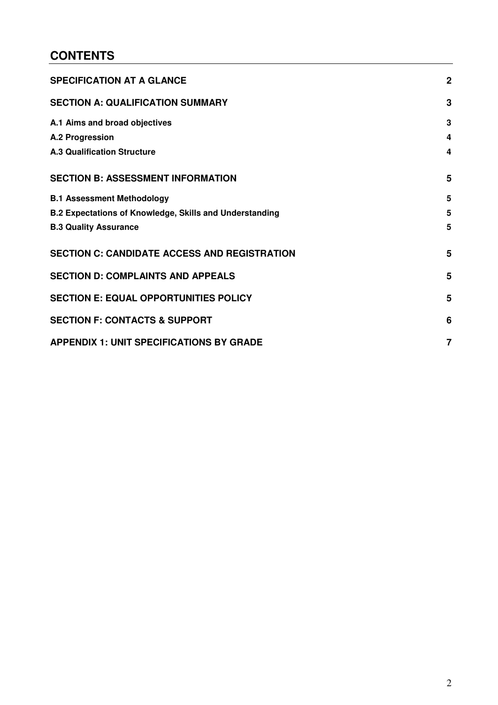## **CONTENTS**

<span id="page-1-0"></span>

| <b>SPECIFICATION AT A GLANCE</b>                               | $\overline{2}$ |
|----------------------------------------------------------------|----------------|
| <b>SECTION A: QUALIFICATION SUMMARY</b>                        | 3              |
| A.1 Aims and broad objectives                                  | 3              |
| A.2 Progression                                                | 4              |
| <b>A.3 Qualification Structure</b>                             | 4              |
| <b>SECTION B: ASSESSMENT INFORMATION</b>                       | 5              |
| <b>B.1 Assessment Methodology</b>                              | 5              |
| <b>B.2 Expectations of Knowledge, Skills and Understanding</b> | 5              |
| <b>B.3 Quality Assurance</b>                                   | 5              |
| <b>SECTION C: CANDIDATE ACCESS AND REGISTRATION</b>            | 5              |
| <b>SECTION D: COMPLAINTS AND APPEALS</b>                       | 5              |
| <b>SECTION E: EQUAL OPPORTUNITIES POLICY</b>                   | 5              |
| <b>SECTION F: CONTACTS &amp; SUPPORT</b>                       | 6              |
| <b>APPENDIX 1: UNIT SPECIFICATIONS BY GRADE</b>                | 7              |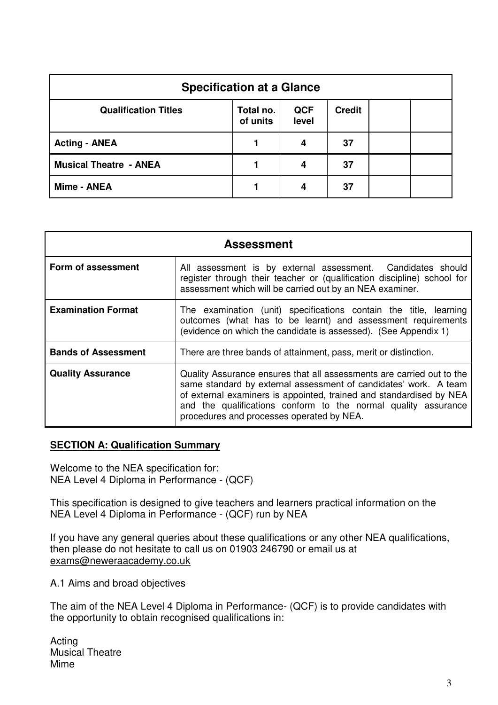| <b>Specification at a Glance</b> |                       |                     |               |  |  |
|----------------------------------|-----------------------|---------------------|---------------|--|--|
| <b>Qualification Titles</b>      | Total no.<br>of units | <b>QCF</b><br>level | <b>Credit</b> |  |  |
| <b>Acting - ANEA</b>             |                       | 4                   | 37            |  |  |
| <b>Musical Theatre - ANEA</b>    |                       | 4                   | 37            |  |  |
| Mime - ANEA                      |                       | 4                   | 37            |  |  |

| <b>Assessment</b>          |                                                                                                                                                                                                                                                                                                                                 |  |  |  |  |
|----------------------------|---------------------------------------------------------------------------------------------------------------------------------------------------------------------------------------------------------------------------------------------------------------------------------------------------------------------------------|--|--|--|--|
| Form of assessment         | All assessment is by external assessment. Candidates should<br>register through their teacher or (qualification discipline) school for<br>assessment which will be carried out by an NEA examiner.                                                                                                                              |  |  |  |  |
| <b>Examination Format</b>  | The examination (unit) specifications contain the title, learning<br>outcomes (what has to be learnt) and assessment requirements<br>(evidence on which the candidate is assessed). (See Appendix 1)                                                                                                                            |  |  |  |  |
| <b>Bands of Assessment</b> | There are three bands of attainment, pass, merit or distinction.                                                                                                                                                                                                                                                                |  |  |  |  |
| <b>Quality Assurance</b>   | Quality Assurance ensures that all assessments are carried out to the<br>same standard by external assessment of candidates' work. A team<br>of external examiners is appointed, trained and standardised by NEA<br>and the qualifications conform to the normal quality assurance<br>procedures and processes operated by NEA. |  |  |  |  |

#### <span id="page-2-0"></span>**SECTION A: Qualification Summary**

Welcome to the NEA specification for: NEA Level 4 Diploma in Performance - (QCF)

This specification is designed to give teachers and learners practical information on the NEA Level 4 Diploma in Performance - (QCF) run by NEA

If you have any general queries about these qualifications or any other NEA qualifications, then please do not hesitate to call us on 01903 246790 or email us at exams@neweraacademy.co.uk

<span id="page-2-1"></span>A.1 Aims and broad objectives

The aim of the NEA Level 4 Diploma in Performance- (QCF) is to provide candidates with the opportunity to obtain recognised qualifications in:

Acting Musical Theatre Mime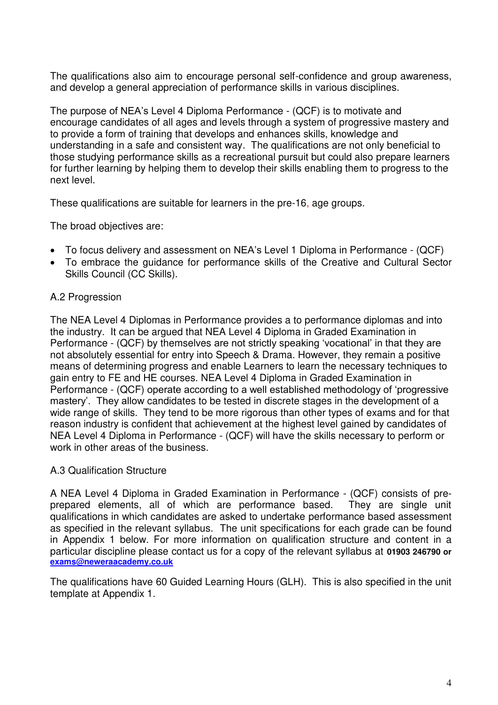The qualifications also aim to encourage personal self-confidence and group awareness, and develop a general appreciation of performance skills in various disciplines.

The purpose of NEA's Level 4 Diploma Performance - (QCF) is to motivate and encourage candidates of all ages and levels through a system of progressive mastery and to provide a form of training that develops and enhances skills, knowledge and understanding in a safe and consistent way. The qualifications are not only beneficial to those studying performance skills as a recreational pursuit but could also prepare learners for further learning by helping them to develop their skills enabling them to progress to the next level.

These qualifications are suitable for learners in the pre-16, age groups.

The broad objectives are:

- To focus delivery and assessment on NEA's Level 1 Diploma in Performance (QCF)
- To embrace the guidance for performance skills of the Creative and Cultural Sector Skills Council (CC Skills).

#### <span id="page-3-0"></span>A.2 Progression

The NEA Level 4 Diplomas in Performance provides a to performance diplomas and into the industry. It can be argued that NEA Level 4 Diploma in Graded Examination in Performance - (QCF) by themselves are not strictly speaking 'vocational' in that they are not absolutely essential for entry into Speech & Drama. However, they remain a positive means of determining progress and enable Learners to learn the necessary techniques to gain entry to FE and HE courses. NEA Level 4 Diploma in Graded Examination in Performance - (QCF) operate according to a well established methodology of 'progressive mastery'. They allow candidates to be tested in discrete stages in the development of a wide range of skills. They tend to be more rigorous than other types of exams and for that reason industry is confident that achievement at the highest level gained by candidates of NEA Level 4 Diploma in Performance - (QCF) will have the skills necessary to perform or work in other areas of the business.

#### <span id="page-3-1"></span>A.3 Qualification Structure

A NEA Level 4 Diploma in Graded Examination in Performance - (QCF) consists of preprepared elements, all of which are performance based. They are single unit qualifications in which candidates are asked to undertake performance based assessment as specified in the relevant syllabus. The unit specifications for each grade can be found in Appendix 1 below. For more information on qualification structure and content in a particular discipline please contact us for a copy of the relevant syllabus at **01903 246790 or [exams@neweraacademy.co.uk](mailto:exams@neweraacademy.co.uk)**

<span id="page-3-2"></span>The qualifications have 60 Guided Learning Hours (GLH). This is also specified in the unit template at Appendix 1.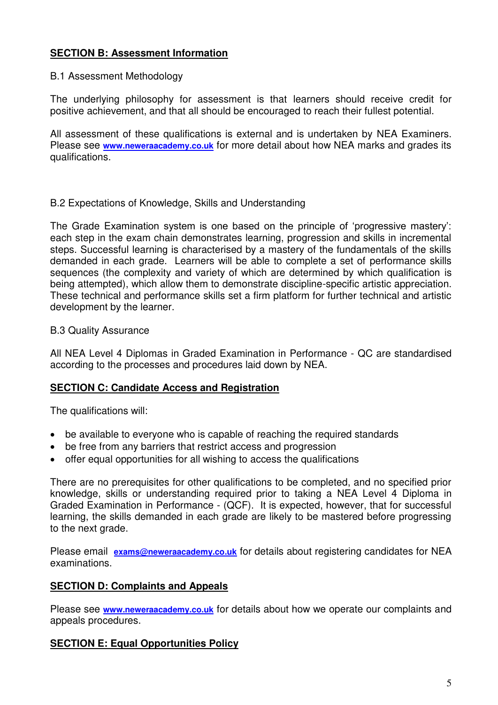### **SECTION B: Assessment Information**

#### <span id="page-4-0"></span>B.1 Assessment Methodology

The underlying philosophy for assessment is that learners should receive credit for positive achievement, and that all should be encouraged to reach their fullest potential.

All assessment of these qualifications is external and is undertaken by NEA Examiners. Please see **[www.neweraacademy.co.uk](http://www.neweraacademy.co.uk/)** for more detail about how NEA marks and grades its qualifications.

#### <span id="page-4-1"></span>B.2 Expectations of Knowledge, Skills and Understanding

The Grade Examination system is one based on the principle of 'progressive mastery': each step in the exam chain demonstrates learning, progression and skills in incremental steps. Successful learning is characterised by a mastery of the fundamentals of the skills demanded in each grade. Learners will be able to complete a set of performance skills sequences (the complexity and variety of which are determined by which qualification is being attempted), which allow them to demonstrate discipline-specific artistic appreciation. These technical and performance skills set a firm platform for further technical and artistic development by the learner.

#### <span id="page-4-2"></span>B.3 Quality Assurance

All NEA Level 4 Diplomas in Graded Examination in Performance - QC are standardised according to the processes and procedures laid down by NEA.

#### <span id="page-4-3"></span>**SECTION C: Candidate Access and Registration**

The qualifications will:

- be available to everyone who is capable of reaching the required standards
- be free from any barriers that restrict access and progression
- offer equal opportunities for all wishing to access the qualifications

There are no prerequisites for other qualifications to be completed, and no specified prior knowledge, skills or understanding required prior to taking a NEA Level 4 Diploma in Graded Examination in Performance - (QCF). It is expected, however, that for successful learning, the skills demanded in each grade are likely to be mastered before progressing to the next grade.

Please email **[exams@neweraacademy.co.uk](mailto:exams@neweraacademy.co.uk)** for details about registering candidates for NEA examinations.

### <span id="page-4-4"></span>**SECTION D: Complaints and Appeals**

Please see **[www.neweraacademy.co.uk](http://www.neweraacademy.co.uk/)** for details about how we operate our complaints and appeals procedures.

### <span id="page-4-5"></span>**SECTION E: Equal Opportunities Policy**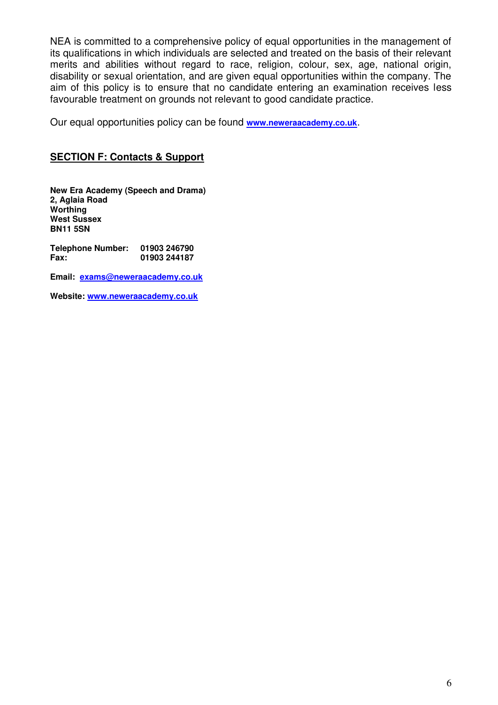NEA is committed to a comprehensive policy of equal opportunities in the management of its qualifications in which individuals are selected and treated on the basis of their relevant merits and abilities without regard to race, religion, colour, sex, age, national origin, disability or sexual orientation, and are given equal opportunities within the company. The aim of this policy is to ensure that no candidate entering an examination receives less favourable treatment on grounds not relevant to good candidate practice.

Our equal opportunities policy can be found **[www.neweraacademy.co.uk](http://www.neweraacademy.co.uk/)**.

#### <span id="page-5-0"></span>**SECTION F: Contacts & Support**

**New Era Academy (Speech and Drama) 2, Aglaia Road Worthing West Sussex BN11 5SN** 

**Telephone Number: 01903 246790 Fax: 01903 244187** 

**Email: [exams@neweraacademy.co.uk](mailto:exams@neweraacademy.co.uk)** 

**Website: [www.neweraacademy.co.uk](http://www.neweraacademy.co.uk/)**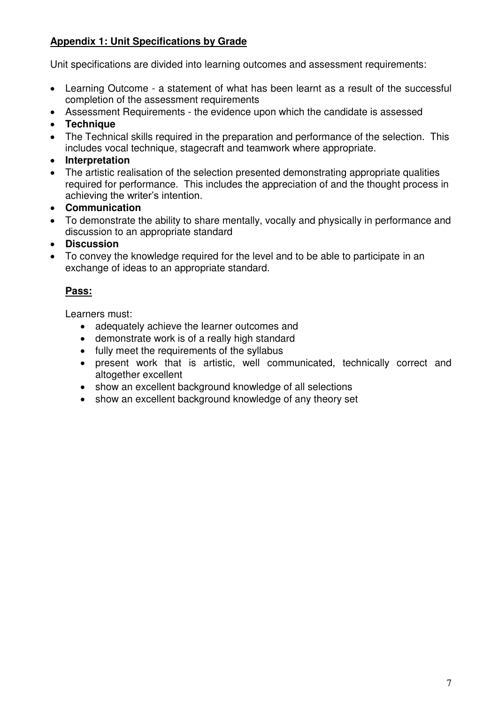## <span id="page-6-0"></span>**Appendix 1: Unit Specifications by Grade**

Unit specifications are divided into learning outcomes and assessment requirements:

- Learning Outcome a statement of what has been learnt as a result of the successful completion of the assessment requirements
- Assessment Requirements the evidence upon which the candidate is assessed
- **Technique**
- The Technical skills required in the preparation and performance of the selection. This includes vocal technique, stagecraft and teamwork where appropriate.
- **Interpretation**
- The artistic realisation of the selection presented demonstrating appropriate qualities required for performance. This includes the appreciation of and the thought process in achieving the writer's intention.
- **Communication**
- To demonstrate the ability to share mentally, vocally and physically in performance and discussion to an appropriate standard
- **Discussion**
- To convey the knowledge required for the level and to be able to participate in an exchange of ideas to an appropriate standard.

## **Pass:**

Learners must:

- adequately achieve the learner outcomes and
- demonstrate work is of a really high standard
- fully meet the requirements of the syllabus
- present work that is artistic, well communicated, technically correct and altogether excellent
- show an excellent background knowledge of all selections
- show an excellent background knowledge of any theory set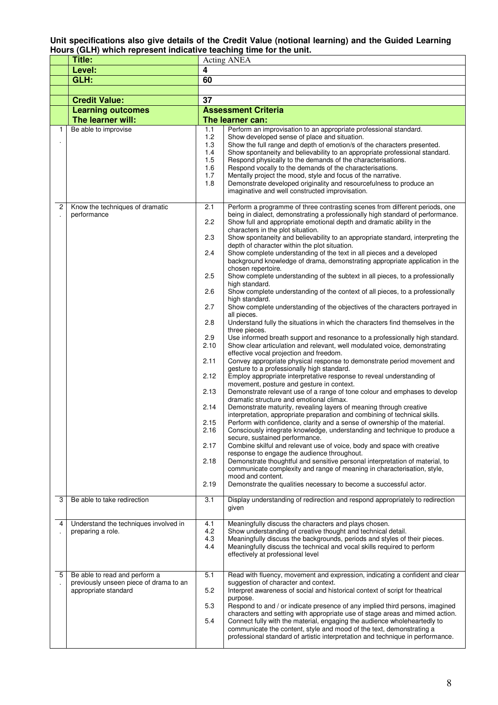#### **Unit specifications also give details of the Credit Value (notional learning) and the Guided Learning Hours (GLH) which represent indicative teaching time for the unit.**

|   | Title:                                         | Acting ANEA  |                                                                                                                                                         |  |
|---|------------------------------------------------|--------------|---------------------------------------------------------------------------------------------------------------------------------------------------------|--|
|   | Level:                                         | 4            |                                                                                                                                                         |  |
|   | GLH:                                           | 60           |                                                                                                                                                         |  |
|   |                                                |              |                                                                                                                                                         |  |
|   | <b>Credit Value:</b>                           | 37           |                                                                                                                                                         |  |
|   |                                                |              | <b>Assessment Criteria</b>                                                                                                                              |  |
|   | <b>Learning outcomes</b><br>The learner will:  |              | The learner can:                                                                                                                                        |  |
| 1 | Be able to improvise                           | 1.1          | Perform an improvisation to an appropriate professional standard.                                                                                       |  |
|   |                                                | 1.2          | Show developed sense of place and situation.                                                                                                            |  |
|   |                                                | 1.3          | Show the full range and depth of emotion/s of the characters presented.                                                                                 |  |
|   |                                                | 1.4          | Show spontaneity and believability to an appropriate professional standard.                                                                             |  |
|   |                                                | 1.5<br>1.6   | Respond physically to the demands of the characterisations.                                                                                             |  |
|   |                                                | 1.7          | Respond vocally to the demands of the characterisations.<br>Mentally project the mood, style and focus of the narrative.                                |  |
|   |                                                | 1.8          | Demonstrate developed originality and resourcefulness to produce an                                                                                     |  |
|   |                                                |              | imaginative and well constructed improvisation.                                                                                                         |  |
| 2 |                                                | 2.1          | Perform a programme of three contrasting scenes from different periods, one                                                                             |  |
|   | Know the techniques of dramatic<br>performance |              | being in dialect, demonstrating a professionally high standard of performance.                                                                          |  |
|   |                                                | 2.2          | Show full and appropriate emotional depth and dramatic ability in the                                                                                   |  |
|   |                                                |              | characters in the plot situation.                                                                                                                       |  |
|   |                                                | 2.3          | Show spontaneity and believability to an appropriate standard, interpreting the<br>depth of character within the plot situation.                        |  |
|   |                                                | 2.4          | Show complete understanding of the text in all pieces and a developed                                                                                   |  |
|   |                                                |              | background knowledge of drama, demonstrating appropriate application in the                                                                             |  |
|   |                                                |              | chosen repertoire.                                                                                                                                      |  |
|   |                                                | 2.5          | Show complete understanding of the subtext in all pieces, to a professionally<br>high standard.                                                         |  |
|   |                                                | 2.6          | Show complete understanding of the context of all pieces, to a professionally                                                                           |  |
|   |                                                |              | high standard.                                                                                                                                          |  |
|   |                                                | 2.7          | Show complete understanding of the objectives of the characters portrayed in                                                                            |  |
|   |                                                | 2.8          | all pieces.<br>Understand fully the situations in which the characters find themselves in the                                                           |  |
|   |                                                |              | three pieces.                                                                                                                                           |  |
|   |                                                | 2.9          | Use informed breath support and resonance to a professionally high standard.                                                                            |  |
|   |                                                | 2.10         | Show clear articulation and relevant, well modulated voice, demonstrating                                                                               |  |
|   |                                                | 2.11         | effective vocal projection and freedom.<br>Convey appropriate physical response to demonstrate period movement and                                      |  |
|   |                                                |              | gesture to a professionally high standard.                                                                                                              |  |
|   |                                                | 2.12         | Employ appropriate interpretative response to reveal understanding of                                                                                   |  |
|   |                                                | 2.13         | movement, posture and gesture in context.                                                                                                               |  |
|   |                                                |              | Demonstrate relevant use of a range of tone colour and emphases to develop<br>dramatic structure and emotional climax.                                  |  |
|   |                                                | 2.14         | Demonstrate maturity, revealing layers of meaning through creative                                                                                      |  |
|   |                                                |              | interpretation, appropriate preparation and combining of technical skills.                                                                              |  |
|   |                                                | 2.15<br>2.16 | Perform with confidence, clarity and a sense of ownership of the material.<br>Consciously integrate knowledge, understanding and technique to produce a |  |
|   |                                                |              | secure, sustained performance.                                                                                                                          |  |
|   |                                                | 2.17         | Combine skilful and relevant use of voice, body and space with creative                                                                                 |  |
|   |                                                |              | response to engage the audience throughout.                                                                                                             |  |
|   |                                                | 2.18         | Demonstrate thoughtful and sensitive personal interpretation of material, to<br>communicate complexity and range of meaning in characterisation, style, |  |
|   |                                                |              | mood and content.                                                                                                                                       |  |
|   |                                                | 2.19         | Demonstrate the qualities necessary to become a successful actor.                                                                                       |  |
| 3 | Be able to take redirection                    | 3.1          | Display understanding of redirection and respond appropriately to redirection                                                                           |  |
|   |                                                |              | given                                                                                                                                                   |  |
|   |                                                |              |                                                                                                                                                         |  |
| 4 | Understand the techniques involved in          | 4.1          | Meaningfully discuss the characters and plays chosen.                                                                                                   |  |
|   | preparing a role.                              | 4.2<br>4.3   | Show understanding of creative thought and technical detail.<br>Meaningfully discuss the backgrounds, periods and styles of their pieces.               |  |
|   |                                                | 4.4          | Meaningfully discuss the technical and vocal skills required to perform                                                                                 |  |
|   |                                                |              | effectively at professional level                                                                                                                       |  |
|   |                                                |              |                                                                                                                                                         |  |
| 5 | Be able to read and perform a                  | 5.1          | Read with fluency, movement and expression, indicating a confident and clear                                                                            |  |
|   | previously unseen piece of drama to an         |              | suggestion of character and context.                                                                                                                    |  |
|   | appropriate standard                           | 5.2          | Interpret awareness of social and historical context of script for theatrical<br>purpose.                                                               |  |
|   |                                                | 5.3          | Respond to and / or indicate presence of any implied third persons, imagined                                                                            |  |
|   |                                                |              | characters and setting with appropriate use of stage areas and mimed action.                                                                            |  |
|   |                                                | 5.4          | Connect fully with the material, engaging the audience wholeheartedly to<br>communicate the content, style and mood of the text, demonstrating a        |  |
|   |                                                |              | professional standard of artistic interpretation and technique in performance.                                                                          |  |
|   |                                                |              |                                                                                                                                                         |  |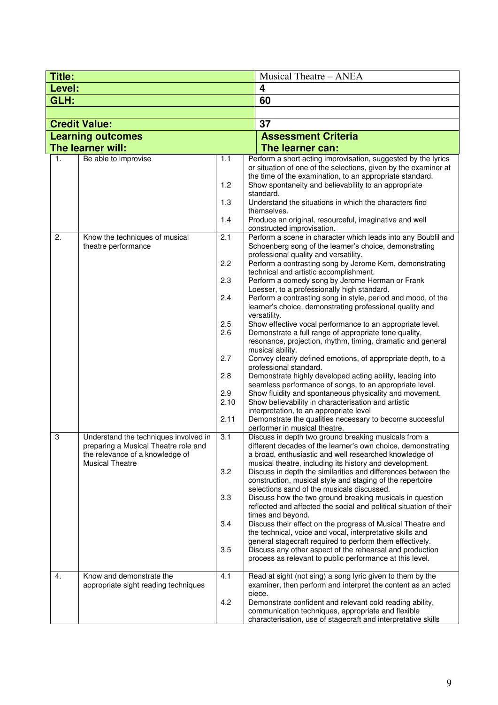| <b>Title:</b>        |                                                                                                                                            |                                                                             | <b>Musical Theatre - ANEA</b>                                                                                                                                                                                                                                                                                                                                                                                                                                                                                                                                                                                                                                                                                                                                                                                                                                                                                                                                                                                                                                                                                                                                                                            |  |  |
|----------------------|--------------------------------------------------------------------------------------------------------------------------------------------|-----------------------------------------------------------------------------|----------------------------------------------------------------------------------------------------------------------------------------------------------------------------------------------------------------------------------------------------------------------------------------------------------------------------------------------------------------------------------------------------------------------------------------------------------------------------------------------------------------------------------------------------------------------------------------------------------------------------------------------------------------------------------------------------------------------------------------------------------------------------------------------------------------------------------------------------------------------------------------------------------------------------------------------------------------------------------------------------------------------------------------------------------------------------------------------------------------------------------------------------------------------------------------------------------|--|--|
| Level:               |                                                                                                                                            |                                                                             | $\overline{\mathbf{4}}$                                                                                                                                                                                                                                                                                                                                                                                                                                                                                                                                                                                                                                                                                                                                                                                                                                                                                                                                                                                                                                                                                                                                                                                  |  |  |
| GLH:                 |                                                                                                                                            |                                                                             | 60                                                                                                                                                                                                                                                                                                                                                                                                                                                                                                                                                                                                                                                                                                                                                                                                                                                                                                                                                                                                                                                                                                                                                                                                       |  |  |
|                      |                                                                                                                                            |                                                                             |                                                                                                                                                                                                                                                                                                                                                                                                                                                                                                                                                                                                                                                                                                                                                                                                                                                                                                                                                                                                                                                                                                                                                                                                          |  |  |
| <b>Credit Value:</b> |                                                                                                                                            |                                                                             | 37                                                                                                                                                                                                                                                                                                                                                                                                                                                                                                                                                                                                                                                                                                                                                                                                                                                                                                                                                                                                                                                                                                                                                                                                       |  |  |
|                      | <b>Learning outcomes</b>                                                                                                                   |                                                                             | <b>Assessment Criteria</b>                                                                                                                                                                                                                                                                                                                                                                                                                                                                                                                                                                                                                                                                                                                                                                                                                                                                                                                                                                                                                                                                                                                                                                               |  |  |
|                      | The learner will:                                                                                                                          |                                                                             | The learner can:                                                                                                                                                                                                                                                                                                                                                                                                                                                                                                                                                                                                                                                                                                                                                                                                                                                                                                                                                                                                                                                                                                                                                                                         |  |  |
| 1.                   | Be able to improvise                                                                                                                       | 1.1<br>1.2                                                                  | Perform a short acting improvisation, suggested by the lyrics<br>or situation of one of the selections, given by the examiner at<br>the time of the examination, to an appropriate standard.<br>Show spontaneity and believability to an appropriate<br>standard.                                                                                                                                                                                                                                                                                                                                                                                                                                                                                                                                                                                                                                                                                                                                                                                                                                                                                                                                        |  |  |
|                      |                                                                                                                                            | 1.3<br>1.4                                                                  | Understand the situations in which the characters find<br>themselves.<br>Produce an original, resourceful, imaginative and well                                                                                                                                                                                                                                                                                                                                                                                                                                                                                                                                                                                                                                                                                                                                                                                                                                                                                                                                                                                                                                                                          |  |  |
|                      |                                                                                                                                            |                                                                             | constructed improvisation.                                                                                                                                                                                                                                                                                                                                                                                                                                                                                                                                                                                                                                                                                                                                                                                                                                                                                                                                                                                                                                                                                                                                                                               |  |  |
| 2.                   | Know the techniques of musical<br>theatre performance                                                                                      | 2.1<br>2.2<br>2.3<br>2.4<br>2.5<br>2.6<br>2.7<br>2.8<br>2.9<br>2.10<br>2.11 | Perform a scene in character which leads into any Boublil and<br>Schoenberg song of the learner's choice, demonstrating<br>professional quality and versatility.<br>Perform a contrasting song by Jerome Kern, demonstrating<br>technical and artistic accomplishment.<br>Perform a comedy song by Jerome Herman or Frank<br>Loesser, to a professionally high standard.<br>Perform a contrasting song in style, period and mood, of the<br>learner's choice, demonstrating professional quality and<br>versatility.<br>Show effective vocal performance to an appropriate level.<br>Demonstrate a full range of appropriate tone quality,<br>resonance, projection, rhythm, timing, dramatic and general<br>musical ability.<br>Convey clearly defined emotions, of appropriate depth, to a<br>professional standard.<br>Demonstrate highly developed acting ability, leading into<br>seamless performance of songs, to an appropriate level.<br>Show fluidity and spontaneous physicality and movement.<br>Show believability in characterisation and artistic<br>interpretation, to an appropriate level<br>Demonstrate the qualities necessary to become successful<br>performer in musical theatre. |  |  |
| 3                    | Understand the techniques involved in<br>preparing a Musical Theatre role and<br>the relevance of a knowledge of<br><b>Musical Theatre</b> | 3.1<br>3.2<br>3.3<br>3.4<br>3.5                                             | Discuss in depth two ground breaking musicals from a<br>different decades of the learner's own choice, demonstrating<br>a broad, enthusiastic and well researched knowledge of<br>musical theatre, including its history and development.<br>Discuss in depth the similarities and differences between the<br>construction, musical style and staging of the repertoire<br>selections sand of the musicals discussed.<br>Discuss how the two ground breaking musicals in question<br>reflected and affected the social and political situation of their<br>times and beyond.<br>Discuss their effect on the progress of Musical Theatre and<br>the technical, voice and vocal, interpretative skills and<br>general stagecraft required to perform them effectively.<br>Discuss any other aspect of the rehearsal and production<br>process as relevant to public performance at this level.                                                                                                                                                                                                                                                                                                             |  |  |
| 4.                   | Know and demonstrate the<br>appropriate sight reading techniques                                                                           | 4.1<br>4.2                                                                  | Read at sight (not sing) a song lyric given to them by the<br>examiner, then perform and interpret the content as an acted<br>piece.<br>Demonstrate confident and relevant cold reading ability,<br>communication techniques, appropriate and flexible<br>characterisation, use of stagecraft and interpretative skills                                                                                                                                                                                                                                                                                                                                                                                                                                                                                                                                                                                                                                                                                                                                                                                                                                                                                  |  |  |